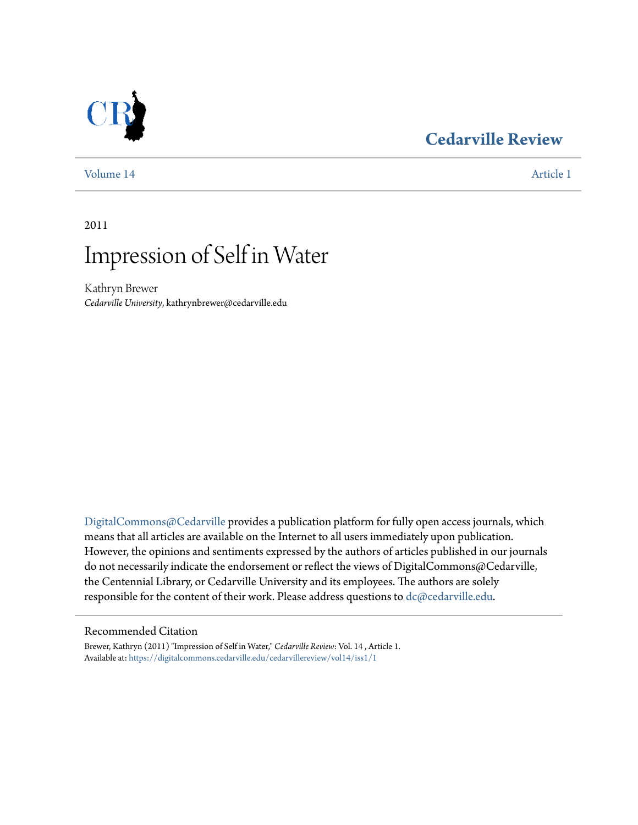## **[Cedarville Review](https://digitalcommons.cedarville.edu/cedarvillereview?utm_source=digitalcommons.cedarville.edu%2Fcedarvillereview%2Fvol14%2Fiss1%2F1&utm_medium=PDF&utm_campaign=PDFCoverPages)**



[Volume 14](https://digitalcommons.cedarville.edu/cedarvillereview/vol14?utm_source=digitalcommons.cedarville.edu%2Fcedarvillereview%2Fvol14%2Fiss1%2F1&utm_medium=PDF&utm_campaign=PDFCoverPages) [Article 1](https://digitalcommons.cedarville.edu/cedarvillereview/vol14/iss1/1?utm_source=digitalcommons.cedarville.edu%2Fcedarvillereview%2Fvol14%2Fiss1%2F1&utm_medium=PDF&utm_campaign=PDFCoverPages)

2011

# Impression of Self in Water

Kathryn Brewer *Cedarville University*, kathrynbrewer@cedarville.edu

[DigitalCommons@Cedarville](http://digitalcommons.cedarville.edu) provides a publication platform for fully open access journals, which means that all articles are available on the Internet to all users immediately upon publication. However, the opinions and sentiments expressed by the authors of articles published in our journals do not necessarily indicate the endorsement or reflect the views of DigitalCommons@Cedarville, the Centennial Library, or Cedarville University and its employees. The authors are solely responsible for the content of their work. Please address questions to [dc@cedarville.edu](mailto:dc@cedarville.edu).

#### Recommended Citation

Brewer, Kathryn (2011) "Impression of Self in Water," *Cedarville Review*: Vol. 14 , Article 1. Available at: [https://digitalcommons.cedarville.edu/cedarvillereview/vol14/iss1/1](https://digitalcommons.cedarville.edu/cedarvillereview/vol14/iss1/1?utm_source=digitalcommons.cedarville.edu%2Fcedarvillereview%2Fvol14%2Fiss1%2F1&utm_medium=PDF&utm_campaign=PDFCoverPages)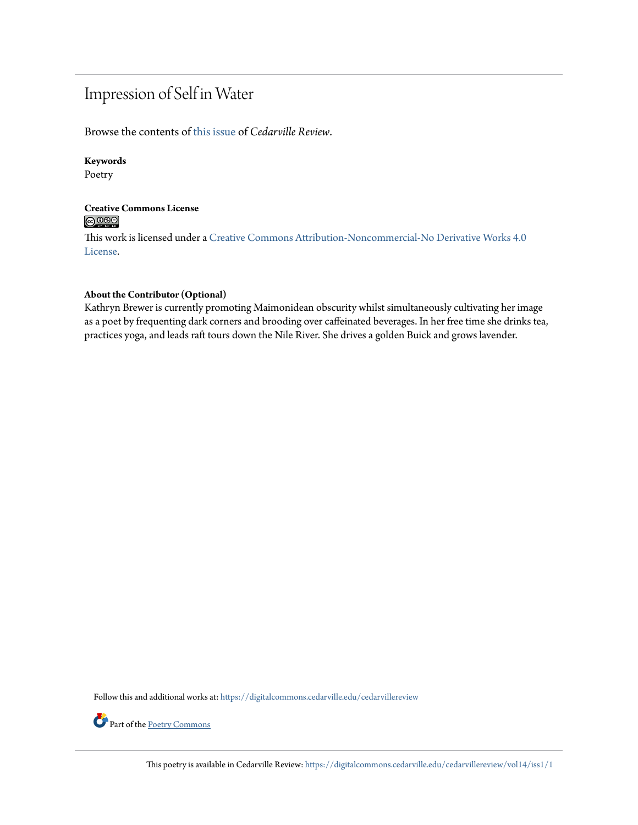## Impression of Self in Water

Browse the contents of [this issue](https://digitalcommons.cedarville.edu/cedarvillereview/vol14/iss1) of *Cedarville Review*.

#### **Keywords**

Poetry

#### **Creative Commons License**  $\bigcirc$   $\circ$

This work is licensed under a [Creative Commons Attribution-Noncommercial-No Derivative Works 4.0](http://creativecommons.org/licenses/by-nc-nd/4.0/) [License.](http://creativecommons.org/licenses/by-nc-nd/4.0/)

#### **About the Contributor (Optional)**

Kathryn Brewer is currently promoting Maimonidean obscurity whilst simultaneously cultivating her image as a poet by frequenting dark corners and brooding over caffeinated beverages. In her free time she drinks tea, practices yoga, and leads raft tours down the Nile River. She drives a golden Buick and grows lavender.

Follow this and additional works at: [https://digitalcommons.cedarville.edu/cedarvillereview](https://digitalcommons.cedarville.edu/cedarvillereview?utm_source=digitalcommons.cedarville.edu%2Fcedarvillereview%2Fvol14%2Fiss1%2F1&utm_medium=PDF&utm_campaign=PDFCoverPages)



Part of the <u>[Poetry Commons](http://network.bepress.com/hgg/discipline/1153?utm_source=digitalcommons.cedarville.edu%2Fcedarvillereview%2Fvol14%2Fiss1%2F1&utm_medium=PDF&utm_campaign=PDFCoverPages)</u>

This poetry is available in Cedarville Review: [https://digitalcommons.cedarville.edu/cedarvillereview/vol14/iss1/1](https://digitalcommons.cedarville.edu/cedarvillereview/vol14/iss1/1?utm_source=digitalcommons.cedarville.edu%2Fcedarvillereview%2Fvol14%2Fiss1%2F1&utm_medium=PDF&utm_campaign=PDFCoverPages)